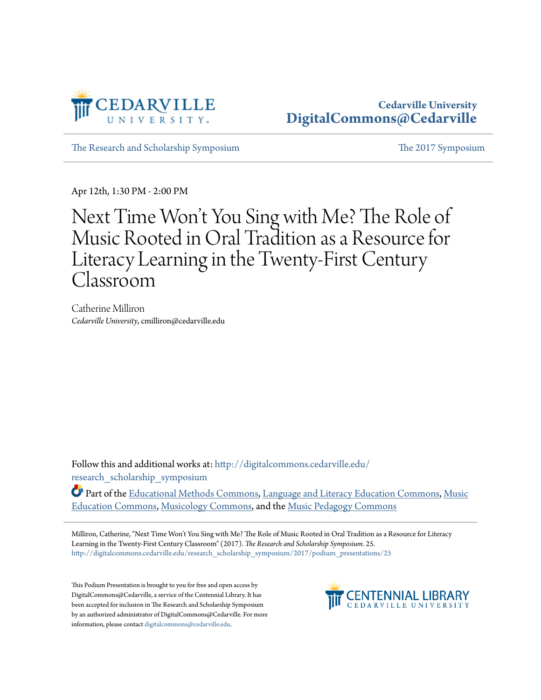

[The Research and Scholarship Symposium](http://digitalcommons.cedarville.edu/research_scholarship_symposium?utm_source=digitalcommons.cedarville.edu%2Fresearch_scholarship_symposium%2F2017%2Fpodium_presentations%2F25&utm_medium=PDF&utm_campaign=PDFCoverPages) [The 2017 Symposium](http://digitalcommons.cedarville.edu/research_scholarship_symposium/2017?utm_source=digitalcommons.cedarville.edu%2Fresearch_scholarship_symposium%2F2017%2Fpodium_presentations%2F25&utm_medium=PDF&utm_campaign=PDFCoverPages)

Apr 12th, 1:30 PM - 2:00 PM

## Next Time Won 't You Sing with Me? The Role of Music Rooted in Oral Tradition as a Resource for Literacy Learning in the Twenty-First Century Classroom

Catherine Milliron *Cedarville University*, cmilliron@cedarville.edu

Follow this and additional works at: [http://digitalcommons.cedarville.edu/](http://digitalcommons.cedarville.edu/research_scholarship_symposium?utm_source=digitalcommons.cedarville.edu%2Fresearch_scholarship_symposium%2F2017%2Fpodium_presentations%2F25&utm_medium=PDF&utm_campaign=PDFCoverPages) [research\\_scholarship\\_symposium](http://digitalcommons.cedarville.edu/research_scholarship_symposium?utm_source=digitalcommons.cedarville.edu%2Fresearch_scholarship_symposium%2F2017%2Fpodium_presentations%2F25&utm_medium=PDF&utm_campaign=PDFCoverPages)

Part of the [Educational Methods Commons,](http://network.bepress.com/hgg/discipline/1227?utm_source=digitalcommons.cedarville.edu%2Fresearch_scholarship_symposium%2F2017%2Fpodium_presentations%2F25&utm_medium=PDF&utm_campaign=PDFCoverPages) [Language and Literacy Education Commons,](http://network.bepress.com/hgg/discipline/1380?utm_source=digitalcommons.cedarville.edu%2Fresearch_scholarship_symposium%2F2017%2Fpodium_presentations%2F25&utm_medium=PDF&utm_campaign=PDFCoverPages) [Music](http://network.bepress.com/hgg/discipline/1246?utm_source=digitalcommons.cedarville.edu%2Fresearch_scholarship_symposium%2F2017%2Fpodium_presentations%2F25&utm_medium=PDF&utm_campaign=PDFCoverPages) [Education Commons](http://network.bepress.com/hgg/discipline/1246?utm_source=digitalcommons.cedarville.edu%2Fresearch_scholarship_symposium%2F2017%2Fpodium_presentations%2F25&utm_medium=PDF&utm_campaign=PDFCoverPages), [Musicology Commons](http://network.bepress.com/hgg/discipline/521?utm_source=digitalcommons.cedarville.edu%2Fresearch_scholarship_symposium%2F2017%2Fpodium_presentations%2F25&utm_medium=PDF&utm_campaign=PDFCoverPages), and the [Music Pedagogy Commons](http://network.bepress.com/hgg/discipline/1129?utm_source=digitalcommons.cedarville.edu%2Fresearch_scholarship_symposium%2F2017%2Fpodium_presentations%2F25&utm_medium=PDF&utm_campaign=PDFCoverPages)

Milliron, Catherine, "Next Time Won't You Sing with Me? The Role of Music Rooted in Oral Tradition as a Resource for Literacy Learning in the Twenty-First Century Classroom" (2017). *The Research and Scholarship Symposium*. 25. [http://digitalcommons.cedarville.edu/research\\_scholarship\\_symposium/2017/podium\\_presentations/25](http://digitalcommons.cedarville.edu/research_scholarship_symposium/2017/podium_presentations/25?utm_source=digitalcommons.cedarville.edu%2Fresearch_scholarship_symposium%2F2017%2Fpodium_presentations%2F25&utm_medium=PDF&utm_campaign=PDFCoverPages)

This Podium Presentation is brought to you for free and open access by DigitalCommons@Cedarville, a service of the Centennial Library. It has been accepted for inclusion in The Research and Scholarship Symposium by an authorized administrator of DigitalCommons@Cedarville. For more information, please contact [digitalcommons@cedarville.edu.](mailto:digitalcommons@cedarville.edu)